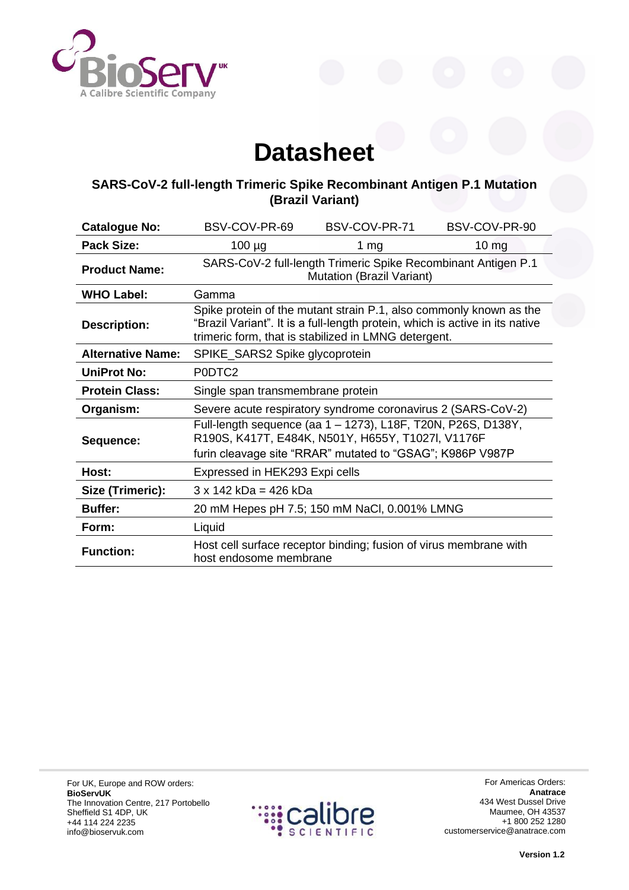

## **Datasheet**

## **SARS-CoV-2 full-length Trimeric Spike Recombinant Antigen P.1 Mutation (Brazil Variant)**

| <b>Catalogue No:</b>     | BSV-COV-PR-69                                                                                                                                                                                              | BSV-COV-PR-71                                                     | BSV-COV-PR-90    |
|--------------------------|------------------------------------------------------------------------------------------------------------------------------------------------------------------------------------------------------------|-------------------------------------------------------------------|------------------|
| <b>Pack Size:</b>        | $100 \mu g$                                                                                                                                                                                                | 1 $mg$                                                            | 10 <sub>mg</sub> |
| <b>Product Name:</b>     | SARS-CoV-2 full-length Trimeric Spike Recombinant Antigen P.1<br>Mutation (Brazil Variant)                                                                                                                 |                                                                   |                  |
| <b>WHO Label:</b>        | Gamma                                                                                                                                                                                                      |                                                                   |                  |
| <b>Description:</b>      | Spike protein of the mutant strain P.1, also commonly known as the<br>"Brazil Variant". It is a full-length protein, which is active in its native<br>trimeric form, that is stabilized in LMNG detergent. |                                                                   |                  |
| <b>Alternative Name:</b> | SPIKE_SARS2 Spike glycoprotein                                                                                                                                                                             |                                                                   |                  |
| <b>UniProt No:</b>       | P0DTC2                                                                                                                                                                                                     |                                                                   |                  |
| <b>Protein Class:</b>    | Single span transmembrane protein                                                                                                                                                                          |                                                                   |                  |
| Organism:                | Severe acute respiratory syndrome coronavirus 2 (SARS-CoV-2)                                                                                                                                               |                                                                   |                  |
| Sequence:                | Full-length sequence (aa 1 - 1273), L18F, T20N, P26S, D138Y,<br>R190S, K417T, E484K, N501Y, H655Y, T1027I, V1176F<br>furin cleavage site "RRAR" mutated to "GSAG"; K986P V987P                             |                                                                   |                  |
| Host:                    | Expressed in HEK293 Expi cells                                                                                                                                                                             |                                                                   |                  |
|                          |                                                                                                                                                                                                            |                                                                   |                  |
| Size (Trimeric):         | $3 \times 142$ kDa = 426 kDa                                                                                                                                                                               |                                                                   |                  |
| <b>Buffer:</b>           |                                                                                                                                                                                                            | 20 mM Hepes pH 7.5; 150 mM NaCl, 0.001% LMNG                      |                  |
| Form:                    | Liquid                                                                                                                                                                                                     |                                                                   |                  |
| <b>Function:</b>         | host endosome membrane                                                                                                                                                                                     | Host cell surface receptor binding; fusion of virus membrane with |                  |